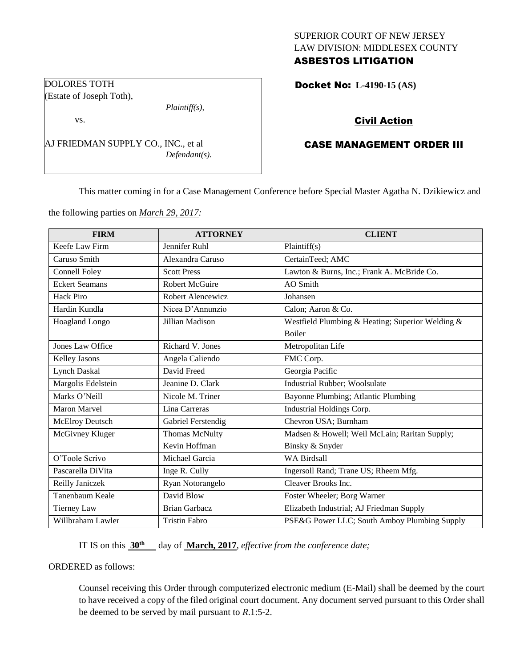## SUPERIOR COURT OF NEW JERSEY LAW DIVISION: MIDDLESEX COUNTY ASBESTOS LITIGATION

Docket No: **L-4190-15 (AS)** 

# Civil Action

# CASE MANAGEMENT ORDER III

This matter coming in for a Case Management Conference before Special Master Agatha N. Dzikiewicz and

the following parties on *March 29, 2017:*

AJ FRIEDMAN SUPPLY CO., INC., et al

*Plaintiff(s),*

*Defendant(s).*

DOLORES TOTH (Estate of Joseph Toth),

vs.

| <b>FIRM</b>           | <b>ATTORNEY</b>       | <b>CLIENT</b>                                    |
|-----------------------|-----------------------|--------------------------------------------------|
| Keefe Law Firm        | Jennifer Ruhl         | Plaintiff(s)                                     |
| Caruso Smith          | Alexandra Caruso      | CertainTeed; AMC                                 |
| Connell Foley         | <b>Scott Press</b>    | Lawton & Burns, Inc.; Frank A. McBride Co.       |
| <b>Eckert Seamans</b> | <b>Robert McGuire</b> | <b>AO</b> Smith                                  |
| Hack Piro             | Robert Alencewicz     | Johansen                                         |
| Hardin Kundla         | Nicea D'Annunzio      | Calon; Aaron & Co.                               |
| Hoagland Longo        | Jillian Madison       | Westfield Plumbing & Heating; Superior Welding & |
|                       |                       | <b>Boiler</b>                                    |
| Jones Law Office      | Richard V. Jones      | Metropolitan Life                                |
| Kelley Jasons         | Angela Caliendo       | FMC Corp.                                        |
| <b>Lynch Daskal</b>   | David Freed           | Georgia Pacific                                  |
| Margolis Edelstein    | Jeanine D. Clark      | Industrial Rubber; Woolsulate                    |
| Marks O'Neill         | Nicole M. Triner      | Bayonne Plumbing; Atlantic Plumbing              |
| Maron Marvel          | Lina Carreras         | Industrial Holdings Corp.                        |
| McElroy Deutsch       | Gabriel Ferstendig    | Chevron USA; Burnham                             |
| McGivney Kluger       | Thomas McNulty        | Madsen & Howell; Weil McLain; Raritan Supply;    |
|                       | Kevin Hoffman         | Binsky & Snyder                                  |
| O'Toole Scrivo        | Michael Garcia        | <b>WA Birdsall</b>                               |
| Pascarella DiVita     | Inge R. Cully         | Ingersoll Rand; Trane US; Rheem Mfg.             |
| Reilly Janiczek       | Ryan Notorangelo      | Cleaver Brooks Inc.                              |
| Tanenbaum Keale       | David Blow            | Foster Wheeler; Borg Warner                      |
| Tierney Law           | <b>Brian Garbacz</b>  | Elizabeth Industrial; AJ Friedman Supply         |
| Willbraham Lawler     | <b>Tristin Fabro</b>  | PSE&G Power LLC; South Amboy Plumbing Supply     |

IT IS on this  $30<sup>th</sup>$  day of **March, 2017**, *effective from the conference date*;

ORDERED as follows:

Counsel receiving this Order through computerized electronic medium (E-Mail) shall be deemed by the court to have received a copy of the filed original court document. Any document served pursuant to this Order shall be deemed to be served by mail pursuant to *R*.1:5-2.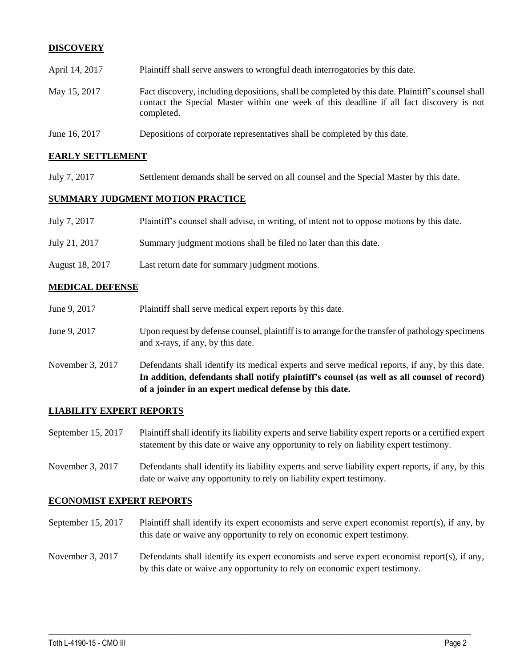# **DISCOVERY**

| April 14, 2017 | Plaintiff shall serve answers to wrongful death interrogatories by this date.                                                                                                                               |
|----------------|-------------------------------------------------------------------------------------------------------------------------------------------------------------------------------------------------------------|
| May 15, 2017   | Fact discovery, including depositions, shall be completed by this date. Plaintiff's counsel shall<br>contact the Special Master within one week of this deadline if all fact discovery is not<br>completed. |
| June 16, 2017  | Depositions of corporate representatives shall be completed by this date.                                                                                                                                   |

### **EARLY SETTLEMENT**

July 7, 2017 Settlement demands shall be served on all counsel and the Special Master by this date.

#### **SUMMARY JUDGMENT MOTION PRACTICE**

| July 7, 2017    | Plaintiff's counsel shall advise, in writing, of intent not to oppose motions by this date. |
|-----------------|---------------------------------------------------------------------------------------------|
| July 21, 2017   | Summary judgment motions shall be filed no later than this date.                            |
| August 18, 2017 | Last return date for summary judgment motions.                                              |

#### **MEDICAL DEFENSE**

| June 9, 2017     | Plaintiff shall serve medical expert reports by this date.                                                                                                                                                                                               |
|------------------|----------------------------------------------------------------------------------------------------------------------------------------------------------------------------------------------------------------------------------------------------------|
| June 9, 2017     | Upon request by defense counsel, plaintiff is to arrange for the transfer of pathology specimens<br>and x-rays, if any, by this date.                                                                                                                    |
| November 3, 2017 | Defendants shall identify its medical experts and serve medical reports, if any, by this date.<br>In addition, defendants shall notify plaintiff's counsel (as well as all counsel of record)<br>of a joinder in an expert medical defense by this date. |

## **LIABILITY EXPERT REPORTS**

- September 15, 2017 Plaintiff shall identify its liability experts and serve liability expert reports or a certified expert statement by this date or waive any opportunity to rely on liability expert testimony.
- November 3, 2017 Defendants shall identify its liability experts and serve liability expert reports, if any, by this date or waive any opportunity to rely on liability expert testimony.

#### **ECONOMIST EXPERT REPORTS**

- September 15, 2017 Plaintiff shall identify its expert economists and serve expert economist report(s), if any, by this date or waive any opportunity to rely on economic expert testimony.
- November 3, 2017 Defendants shall identify its expert economists and serve expert economist report(s), if any, by this date or waive any opportunity to rely on economic expert testimony.

 $\_$  ,  $\_$  ,  $\_$  ,  $\_$  ,  $\_$  ,  $\_$  ,  $\_$  ,  $\_$  ,  $\_$  ,  $\_$  ,  $\_$  ,  $\_$  ,  $\_$  ,  $\_$  ,  $\_$  ,  $\_$  ,  $\_$  ,  $\_$  ,  $\_$  ,  $\_$  ,  $\_$  ,  $\_$  ,  $\_$  ,  $\_$  ,  $\_$  ,  $\_$  ,  $\_$  ,  $\_$  ,  $\_$  ,  $\_$  ,  $\_$  ,  $\_$  ,  $\_$  ,  $\_$  ,  $\_$  ,  $\_$  ,  $\_$  ,